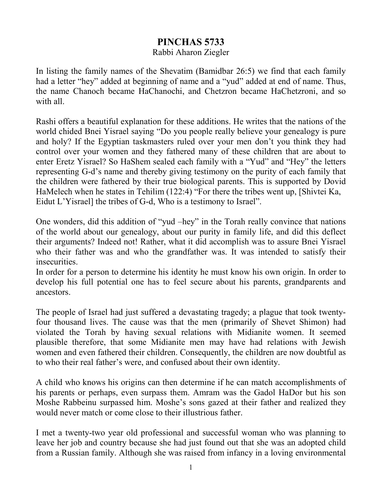## **PINCHAS 5733**

## Rabbi Aharon Ziegler

In listing the family names of the Shevatim (Bamidbar 26:5) we find that each family had a letter "hey" added at beginning of name and a "yud" added at end of name. Thus, the name Chanoch became HaChanochi, and Chetzron became HaChetzroni, and so with all.

Rashi offers a beautiful explanation for these additions. He writes that the nations of the world chided Bnei Yisrael saying "Do you people really believe your genealogy is pure and holy? If the Egyptian taskmasters ruled over your men don't you think they had control over your women and they fathered many of these children that are about to enter Eretz Yisrael? So HaShem sealed each family with a "Yud" and "Hey" the letters representing G-d's name and thereby giving testimony on the purity of each family that the children were fathered by their true biological parents. This is supported by Dovid HaMelech when he states in Tehilim (122:4) "For there the tribes went up, [Shivtei Ka, Eidut L'Yisrael] the tribes of G-d, Who is a testimony to Israel".

One wonders, did this addition of "yud –hey" in the Torah really convince that nations of the world about our genealogy, about our purity in family life, and did this deflect their arguments? Indeed not! Rather, what it did accomplish was to assure Bnei Yisrael who their father was and who the grandfather was. It was intended to satisfy their insecurities.

In order for a person to determine his identity he must know his own origin. In order to develop his full potential one has to feel secure about his parents, grandparents and ancestors.

The people of Israel had just suffered a devastating tragedy; a plague that took twentyfour thousand lives. The cause was that the men (primarily of Shevet Shimon) had violated the Torah by having sexual relations with Midianite women. It seemed plausible therefore, that some Midianite men may have had relations with Jewish women and even fathered their children. Consequently, the children are now doubtful as to who their real father's were, and confused about their own identity.

A child who knows his origins can then determine if he can match accomplishments of his parents or perhaps, even surpass them. Amram was the Gadol HaDor but his son Moshe Rabbeinu surpassed him. Moshe's sons gazed at their father and realized they would never match or come close to their illustrious father.

I met a twenty-two year old professional and successful woman who was planning to leave her job and country because she had just found out that she was an adopted child from a Russian family. Although she was raised from infancy in a loving environmental